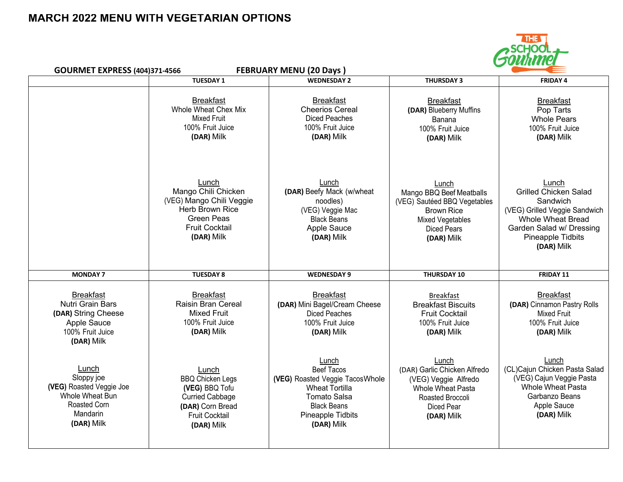## **MARCH 2022 MENU WITH VEGETARIAN OPTIONS**



| <b>FEBRUARY MENU (20 Days)</b><br><b>GOURMET EXPRESS (404)371-4566</b>                                       |                                                                                                                                                |                                                                                                                                                                        | .                                                                                                                                                     |                                                                                                                                                                               |  |
|--------------------------------------------------------------------------------------------------------------|------------------------------------------------------------------------------------------------------------------------------------------------|------------------------------------------------------------------------------------------------------------------------------------------------------------------------|-------------------------------------------------------------------------------------------------------------------------------------------------------|-------------------------------------------------------------------------------------------------------------------------------------------------------------------------------|--|
|                                                                                                              | <b>TUESDAY 1</b>                                                                                                                               | <b>WEDNESDAY 2</b>                                                                                                                                                     | <b>THURSDAY 3</b>                                                                                                                                     | <b>FRIDAY 4</b>                                                                                                                                                               |  |
|                                                                                                              | <b>Breakfast</b><br>Whole Wheat Chex Mix<br><b>Mixed Fruit</b><br>100% Fruit Juice<br>(DAR) Milk                                               | <b>Breakfast</b><br><b>Cheerios Cereal</b><br><b>Diced Peaches</b><br>100% Fruit Juice<br>(DAR) Milk                                                                   | <b>Breakfast</b><br>(DAR) Blueberry Muffins<br>Banana<br>100% Fruit Juice<br>(DAR) Milk                                                               | <b>Breakfast</b><br>Pop Tarts<br><b>Whole Pears</b><br>100% Fruit Juice<br>(DAR) Milk                                                                                         |  |
|                                                                                                              | Lunch<br>Mango Chili Chicken<br>(VEG) Mango Chili Veggie<br><b>Herb Brown Rice</b><br><b>Green Peas</b><br><b>Fruit Cocktail</b><br>(DAR) Milk | Lunch<br>(DAR) Beefy Mack (w/wheat<br>noodles)<br>(VEG) Veggie Mac<br><b>Black Beans</b><br>Apple Sauce<br>(DAR) Milk                                                  | Lunch<br>Mango BBQ Beef Meatballs<br>(VEG) Sautéed BBQ Vegetables<br><b>Brown Rice</b><br><b>Mixed Vegetables</b><br><b>Diced Pears</b><br>(DAR) Milk | Lunch<br><b>Grilled Chicken Salad</b><br>Sandwich<br>(VEG) Grilled Veggie Sandwich<br><b>Whole Wheat Bread</b><br>Garden Salad w/ Dressing<br>Pineapple Tidbits<br>(DAR) Milk |  |
| <b>MONDAY 7</b>                                                                                              | <b>TUESDAY 8</b>                                                                                                                               | <b>WEDNESDAY 9</b>                                                                                                                                                     | <b>THURSDAY 10</b>                                                                                                                                    | FRIDAY 11                                                                                                                                                                     |  |
| <b>Breakfast</b><br>Nutri Grain Bars<br>(DAR) String Cheese<br>Apple Sauce<br>100% Fruit Juice<br>(DAR) Milk | <b>Breakfast</b><br>Raisin Bran Cereal<br><b>Mixed Fruit</b><br>100% Fruit Juice<br>(DAR) Milk                                                 | <b>Breakfast</b><br>(DAR) Mini Bagel/Cream Cheese<br><b>Diced Peaches</b><br>100% Fruit Juice<br>(DAR) Milk                                                            | <b>Breakfast</b><br><b>Breakfast Biscuits</b><br><b>Fruit Cocktail</b><br>100% Fruit Juice<br>(DAR) Milk                                              | <b>Breakfast</b><br>(DAR) Cinnamon Pastry Rolls<br><b>Mixed Fruit</b><br>100% Fruit Juice<br>(DAR) Milk                                                                       |  |
| Lunch<br>Sloppy joe<br>(VEG) Roasted Veggie Joe<br>Whole Wheat Bun<br>Roasted Corn<br>Mandarin<br>(DAR) Milk | Lunch<br><b>BBQ Chicken Legs</b><br>(VEG) BBQ Tofu<br>Curried Cabbage<br>(DAR) Corn Bread<br><b>Fruit Cocktail</b><br>(DAR) Milk               | Lunch<br><b>Beef Tacos</b><br>(VEG) Roasted Veggie TacosWhole<br><b>Wheat Tortilla</b><br><b>Tomato Salsa</b><br><b>Black Beans</b><br>Pineapple Tidbits<br>(DAR) Milk | Lunch<br>(DAR) Garlic Chicken Alfredo<br>(VEG) Veggie Alfredo<br>Whole Wheat Pasta<br>Roasted Broccoli<br><b>Diced Pear</b><br>(DAR) Milk             | Lunch<br>(CL)Cajun Chicken Pasta Salad<br>(VEG) Cajun Veggie Pasta<br><b>Whole Wheat Pasta</b><br>Garbanzo Beans<br>Apple Sauce<br>(DAR) Milk                                 |  |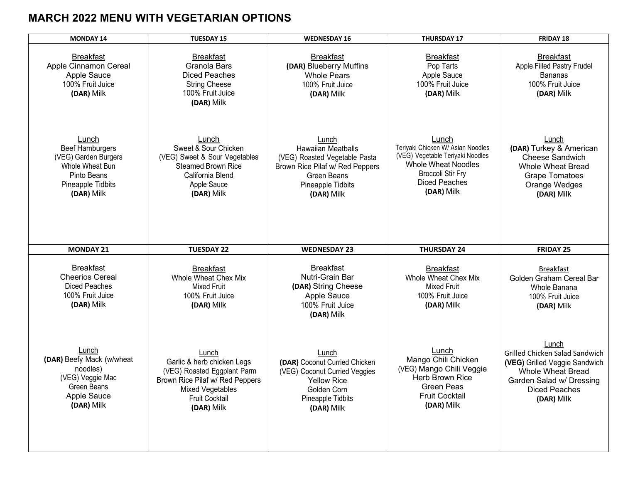# **MARCH 2022 MENU WITH VEGETARIAN OPTIONS**

| <b>MONDAY 14</b>                                                                                                             | <b>TUESDAY 15</b>                                                                                                                                                       | <b>WEDNESDAY 16</b>                                                                                                                               | <b>THURSDAY 17</b>                                                                                                                                                             | FRIDAY 18                                                                                                                                                              |
|------------------------------------------------------------------------------------------------------------------------------|-------------------------------------------------------------------------------------------------------------------------------------------------------------------------|---------------------------------------------------------------------------------------------------------------------------------------------------|--------------------------------------------------------------------------------------------------------------------------------------------------------------------------------|------------------------------------------------------------------------------------------------------------------------------------------------------------------------|
| <b>Breakfast</b><br>Apple Cinnamon Cereal<br>Apple Sauce<br>100% Fruit Juice<br>(DAR) Milk                                   | <b>Breakfast</b><br>Granola Bars<br><b>Diced Peaches</b><br><b>String Cheese</b><br>100% Fruit Juice<br>(DAR) Milk                                                      | <b>Breakfast</b><br>(DAR) Blueberry Muffins<br><b>Whole Pears</b><br>100% Fruit Juice<br>(DAR) Milk                                               | <b>Breakfast</b><br>Pop Tarts<br>Apple Sauce<br>100% Fruit Juice<br>(DAR) Milk                                                                                                 | <b>Breakfast</b><br>Apple Filled Pastry Frudel<br><b>Bananas</b><br>100% Fruit Juice<br>(DAR) Milk                                                                     |
| Lunch<br><b>Beef Hamburgers</b><br>(VEG) Garden Burgers<br>Whole Wheat Bun<br>Pinto Beans<br>Pineapple Tidbits<br>(DAR) Milk | Lunch<br>Sweet & Sour Chicken<br>(VEG) Sweet & Sour Vegetables<br><b>Steamed Brown Rice</b><br>California Blend<br>Apple Sauce<br>(DAR) Milk                            | Lunch<br>Hawaiian Meatballs<br>(VEG) Roasted Vegetable Pasta<br>Brown Rice Pilaf w/ Red Peppers<br>Green Beans<br>Pineapple Tidbits<br>(DAR) Milk | Lunch<br>Teriyaki Chicken W/ Asian Noodles<br>(VEG) Vegetable Teriyaki Noodles<br><b>Whole Wheat Noodles</b><br><b>Broccoli Stir Fry</b><br><b>Diced Peaches</b><br>(DAR) Milk | Lunch<br>(DAR) Turkey & American<br>Cheese Sandwich<br><b>Whole Wheat Bread</b><br><b>Grape Tomatoes</b><br>Orange Wedges<br>(DAR) Milk                                |
| <b>MONDAY 21</b>                                                                                                             | <b>TUESDAY 22</b>                                                                                                                                                       | <b>WEDNESDAY 23</b>                                                                                                                               | <b>THURSDAY 24</b>                                                                                                                                                             | <b>FRIDAY 25</b>                                                                                                                                                       |
| <b>Breakfast</b><br><b>Cheerios Cereal</b><br><b>Diced Peaches</b><br>100% Fruit Juice<br>(DAR) Milk                         | <b>Breakfast</b><br>Whole Wheat Chex Mix<br><b>Mixed Fruit</b><br>100% Fruit Juice<br>(DAR) Milk                                                                        | <b>Breakfast</b><br>Nutri-Grain Bar<br>(DAR) String Cheese<br>Apple Sauce<br>100% Fruit Juice<br>(DAR) Milk                                       | <b>Breakfast</b><br>Whole Wheat Chex Mix<br><b>Mixed Fruit</b><br>100% Fruit Juice<br>(DAR) Milk                                                                               | <b>Breakfast</b><br>Golden Graham Cereal Bar<br>Whole Banana<br>100% Fruit Juice<br>(DAR) Milk                                                                         |
| Lunch<br>(DAR) Beefy Mack (w/wheat<br>noodles)<br>(VEG) Veggie Mac<br><b>Green Beans</b><br>Apple Sauce<br>(DAR) Milk        | Lunch<br>Garlic & herb chicken Legs<br>(VEG) Roasted Eggplant Parm<br>Brown Rice Pilaf w/ Red Peppers<br><b>Mixed Vegetables</b><br><b>Fruit Cocktail</b><br>(DAR) Milk | Lunch<br>(DAR) Coconut Curried Chicken<br>(VEG) Coconut Curried Veggies<br><b>Yellow Rice</b><br>Golden Corn<br>Pineapple Tidbits<br>(DAR) Milk   | Lunch<br>Mango Chili Chicken<br>(VEG) Mango Chili Veggie<br><b>Herb Brown Rice</b><br><b>Green Peas</b><br><b>Fruit Cocktail</b><br>(DAR) Milk                                 | Lunch<br>Grilled Chicken Salad Sandwich<br>(VEG) Grilled Veggie Sandwich<br><b>Whole Wheat Bread</b><br>Garden Salad w/ Dressing<br><b>Diced Peaches</b><br>(DAR) Milk |